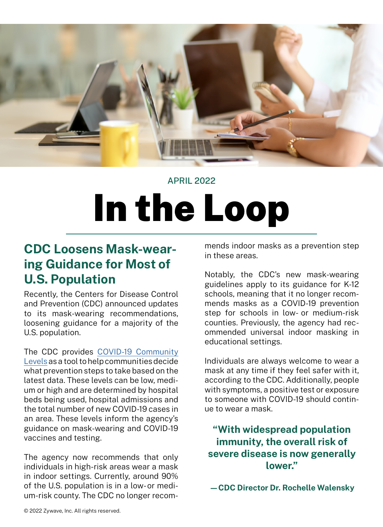

## APRIL 2022

# In the Loop

## **CDC Loosens Mask-wearing Guidance for Most of U.S. Population**

Recently, the Centers for Disease Control and Prevention (CDC) announced updates to its mask-wearing recommendations, loosening guidance for a majority of the U.S. population.

The CDC provides C[OVID-19 Community](https://www.cdc.gov/coronavirus/2019-ncov/science/community-levels.html) [Levels](https://www.cdc.gov/coronavirus/2019-ncov/science/community-levels.html) as a tool to help communities decide what prevention steps to take based on the latest data. These levels can be low, medium or high and are determined by hospital beds being used, hospital admissions and the total number of new COVID-19 cases in an area. These levels inform the agency's guidance on mask-wearing and COVID-19 vaccines and testing.

The agency now recommends that only individuals in high-risk areas wear a mask in indoor settings. Currently, around 90% of the U.S. population is in a low- or medium-risk county. The CDC no longer recom-

mends indoor masks as a prevention step in these areas.

Notably, the CDC's new mask-wearing guidelines apply to its guidance for K-12 schools, meaning that it no longer recommends masks as a COVID-19 prevention step for schools in low- or medium-risk counties. Previously, the agency had recommended universal indoor masking in educational settings.

Individuals are always welcome to wear a mask at any time if they feel safer with it, according to the CDC. Additionally, people with symptoms, a positive test or exposure to someone with COVID-19 should continue to wear a mask.

**"With widespread population immunity, the overall risk of severe disease is now generally lower."**

**—CDC Director Dr. Rochelle Walensky**